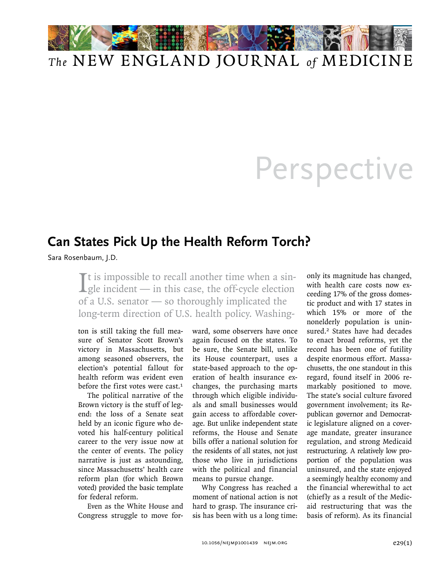## *The* NEW ENGLAND JOURNAL *of* MEDICINE

## Perspective

## **Can States Pick Up the Health Reform Torch?**

Sara Rosenbaum, J.D.

 $\prod$ t is impossible to recall another time when a single incident — in this case, the off-cycle election  $\mathsf{T}$ t is impossible to recall another time when a sinof a U.S. senator — so thoroughly implicated the long-term direction of U.S. health policy. Washing-

ton is still taking the full measure of Senator Scott Brown's victory in Massachusetts, but among seasoned observers, the election's potential fallout for health reform was evident even before the first votes were cast.<sup>1</sup>

The political narrative of the Brown victory is the stuff of legend: the loss of a Senate seat held by an iconic figure who devoted his half-century political career to the very issue now at the center of events. The policy narrative is just as astounding, since Massachusetts' health care reform plan (for which Brown voted) provided the basic template for federal reform.

Even as the White House and Congress struggle to move forward, some observers have once again focused on the states. To be sure, the Senate bill, unlike its House counterpart, uses a state-based approach to the operation of health insurance exchanges, the purchasing marts through which eligible individuals and small businesses would gain access to affordable coverage. But unlike independent state reforms, the House and Senate bills offer a national solution for the residents of all states, not just those who live in jurisdictions with the political and financial means to pursue change.

Why Congress has reached a moment of national action is not hard to grasp. The insurance crisis has been with us a long time: only its magnitude has changed, with health care costs now exceeding 17% of the gross domestic product and with 17 states in which 15% or more of the nonelderly population is uninsured.<sup>2</sup> States have had decades to enact broad reforms, yet the record has been one of futility despite enormous effort. Massachusetts, the one standout in this regard, found itself in 2006 remarkably positioned to move. The state's social culture favored government involvement; its Republican governor and Democratic legislature aligned on a coverage mandate, greater insurance regulation, and strong Medicaid restructuring. A relatively low proportion of the population was uninsured, and the state enjoyed a seemingly healthy economy and the financial wherewithal to act (chiefly as a result of the Medicaid restructuring that was the basis of reform). As its financial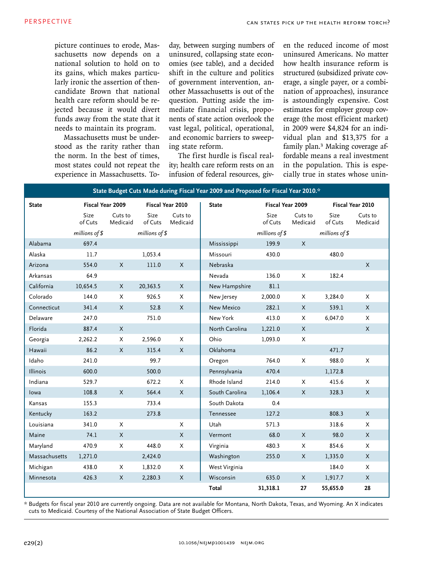picture continues to erode, Massachusetts now depends on a national solution to hold on to its gains, which makes particularly ironic the assertion of thencandidate Brown that national health care reform should be rejected because it would divert funds away from the state that it needs to maintain its program.

Massachusetts must be understood as the rarity rather than the norm. In the best of times, most states could not repeat the experience in Massachusetts. Today, between surging numbers of uninsured, collapsing state economies (see table), and a decided shift in the culture and politics of government intervention, another Massachusetts is out of the question. Putting aside the immediate financial crisis, proponents of state action overlook the vast legal, political, operational, and economic barriers to sweeping state reform.

The first hurdle is fiscal reality; health care reform rests on an infusion of federal resources, given the reduced income of most uninsured Americans. No matter how health insurance reform is structured (subsidized private coverage, a single payer, or a combination of approaches), insurance is astoundingly expensive. Cost estimates for employer group coverage (the most efficient market) in 2009 were \$4,824 for an individual plan and \$13,375 for a family plan.3 Making coverage affordable means a real investment in the population. This is especially true in states whose unin-

| State Budget Cuts Made during Fiscal Year 2009 and Proposed for Fiscal Year 2010.* |                        |                     |                   |                     |                |                   |                     |                   |                     |
|------------------------------------------------------------------------------------|------------------------|---------------------|-------------------|---------------------|----------------|-------------------|---------------------|-------------------|---------------------|
| <b>State</b>                                                                       | Fiscal Year 2009       |                     | Fiscal Year 2010  |                     | <b>State</b>   | Fiscal Year 2009  |                     | Fiscal Year 2010  |                     |
|                                                                                    | <b>Size</b><br>of Cuts | Cuts to<br>Medicaid | Size<br>of Cuts   | Cuts to<br>Medicaid |                | Size<br>of Cuts   | Cuts to<br>Medicaid | Size<br>of Cuts   | Cuts to<br>Medicaid |
|                                                                                    | millions of \$         |                     | $millions$ of $$$ |                     |                | $millions$ of $$$ |                     | $millions$ of $$$ |                     |
| Alabama                                                                            | 697.4                  |                     |                   |                     | Mississippi    | 199.9             | $\mathsf{X}$        |                   |                     |
| Alaska                                                                             | 11.7                   |                     | 1,053.4           |                     | Missouri       | 430.0             |                     | 480.0             |                     |
| Arizona                                                                            | 554.0                  | X                   | 111.0             | X                   | Nebraska       |                   |                     |                   | $\mathsf{X}$        |
| Arkansas                                                                           | 64.9                   |                     |                   |                     | Nevada         | 136.0             | X                   | 182.4             |                     |
| California                                                                         | 10,654.5               | $\mathsf{X}$        | 20,363.5          | X                   | New Hampshire  | 81.1              |                     |                   |                     |
| Colorado                                                                           | 144.0                  | X                   | 926.5             | X                   | New Jersey     | 2,000.0           | X                   | 3,284.0           | X                   |
| Connecticut                                                                        | 341.4                  | X                   | 52.8              | X                   | New Mexico     | 282.1             | X                   | 539.1             | X                   |
| Delaware                                                                           | 247.0                  |                     | 751.0             |                     | New York       | 413.0             | X                   | 6,047.0           | X                   |
| Florida                                                                            | 887.4                  | $\mathsf X$         |                   |                     | North Carolina | 1,221.0           | $\mathsf{X}$        |                   | $\mathsf{X}$        |
| Georgia                                                                            | 2,262.2                | X                   | 2,596.0           | X                   | Ohio           | 1,093.0           | X                   |                   |                     |
| Hawaii                                                                             | 86.2                   | $\mathsf X$         | 315.4             | $\mathsf X$         | Oklahoma       |                   |                     | 471.7             |                     |
| Idaho                                                                              | 241.0                  |                     | 99.7              |                     | Oregon         | 764.0             | X                   | 988.0             | $\mathsf{X}$        |
| Illinois                                                                           | 600.0                  |                     | 500.0             |                     | Pennsylvania   | 470.4             |                     | 1,172.8           |                     |
| Indiana                                                                            | 529.7                  |                     | 672.2             | X                   | Rhode Island   | 214.0             | X                   | 415.6             | X                   |
| lowa                                                                               | 108.8                  | $\mathsf{X}$        | 564.4             | X                   | South Carolina | 1,106.4           | X                   | 328.3             | $\mathsf{X}$        |
| Kansas                                                                             | 155.3                  |                     | 733.4             |                     | South Dakota   | 0.4               |                     |                   |                     |
| Kentucky                                                                           | 163.2                  |                     | 273.8             |                     | Tennessee      | 127.2             |                     | 808.3             | X                   |
| Louisiana                                                                          | 341.0                  | X                   |                   | X                   | Utah           | 571.3             |                     | 318.6             | X                   |
| Maine                                                                              | 74.1                   | $\mathsf{X}$        |                   | X                   | Vermont        | 68.0              | X                   | 98.0              | X                   |
| Maryland                                                                           | 470.9                  | X                   | 448.0             | X                   | Virginia       | 480.3             | X                   | 854.6             | X                   |
| Massachusetts                                                                      | 1,271.0                |                     | 2,424.0           |                     | Washington     | 255.0             | X                   | 1,335.0           | X                   |
| Michigan                                                                           | 438.0                  | X                   | 1,832.0           | X                   | West Virginia  |                   |                     | 184.0             | X                   |
| Minnesota                                                                          | 426.3                  | X                   | 2,280.3           | $\mathsf X$         | Wisconsin      | 635.0             | X                   | 1,917.7           | X                   |
|                                                                                    |                        |                     |                   |                     | Total          | 31,318.1          | 27                  | 55,655.0          | 28                  |

\* Budgets for fiscal year 2010 are currently ongoing. Data are not available for Montana, North Dakota, Texas, and Wyoming. An X indicates cuts to Medicaid. Courtesy of the National Association of State Budget Officers.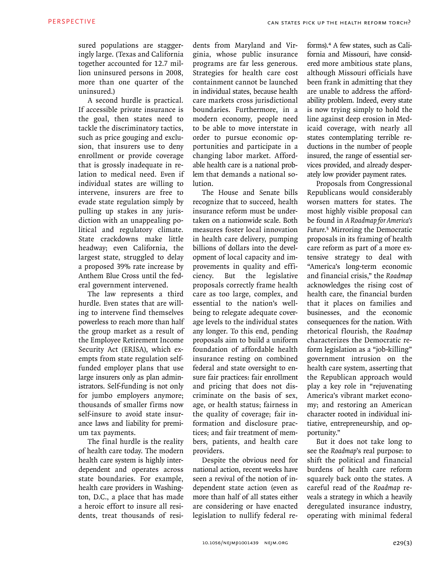sured populations are staggeringly large. (Texas and California together accounted for 12.7 million uninsured persons in 2008, more than one quarter of the uninsured.)

A second hurdle is practical. If accessible private insurance is the goal, then states need to tackle the discriminatory tactics, such as price gouging and exclusion, that insurers use to deny enrollment or provide coverage that is grossly inadequate in relation to medical need. Even if individual states are willing to intervene, insurers are free to evade state regulation simply by pulling up stakes in any jurisdiction with an unappealing political and regulatory climate. State crackdowns make little headway; even California, the largest state, struggled to delay a proposed 39% rate increase by Anthem Blue Cross until the federal government intervened.

The law represents a third hurdle. Even states that are willing to intervene find themselves powerless to reach more than half the group market as a result of the Employee Retirement Income Security Act (ERISA), which exempts from state regulation selffunded employer plans that use large insurers only as plan administrators. Self-funding is not only for jumbo employers anymore; thousands of smaller firms now self-insure to avoid state insurance laws and liability for premium tax payments.

The final hurdle is the reality of health care today. The modern health care system is highly interdependent and operates across state boundaries. For example, health care providers in Washington, D.C., a place that has made a heroic effort to insure all residents, treat thousands of residents from Maryland and Virginia, whose public insurance programs are far less generous. Strategies for health care cost containment cannot be launched in individual states, because health care markets cross jurisdictional boundaries. Furthermore, in a modern economy, people need to be able to move interstate in order to pursue economic opportunities and participate in a changing labor market. Affordable health care is a national problem that demands a national solution.

The House and Senate bills recognize that to succeed, health insurance reform must be undertaken on a nationwide scale. Both measures foster local innovation in health care delivery, pumping billions of dollars into the development of local capacity and improvements in quality and efficiency. But the legislative proposals correctly frame health care as too large, complex, and essential to the nation's wellbeing to relegate adequate coverage levels to the individual states any longer. To this end, pending proposals aim to build a uniform foundation of affordable health insurance resting on combined federal and state oversight to ensure fair practices: fair enrollment and pricing that does not discriminate on the basis of sex, age, or health status; fairness in the quality of coverage; fair information and disclosure practices; and fair treatment of members, patients, and health care providers.

Despite the obvious need for national action, recent weeks have seen a revival of the notion of independent state action (even as more than half of all states either are considering or have enacted legislation to nullify federal reforms).4 A few states, such as California and Missouri, have considered more ambitious state plans, although Missouri officials have been frank in admitting that they are unable to address the affordability problem. Indeed, every state is now trying simply to hold the line against deep erosion in Medicaid coverage, with nearly all states contemplating terrible reductions in the number of people insured, the range of essential services provided, and already desperately low provider payment rates.

Proposals from Congressional Republicans would considerably worsen matters for states. The most highly visible proposal can be found in *A Roadmap for America's Future*. <sup>5</sup> Mirroring the Democratic proposals in its framing of health care reform as part of a more extensive strategy to deal with "America's long-term economic and financial crisis," the *Roadmap* acknowledges the rising cost of health care, the financial burden that it places on families and businesses, and the economic consequences for the nation. With rhetorical flourish, the *Roadmap* characterizes the Democratic reform legislation as a "job-killing" government intrusion on the health care system, asserting that the Republican approach would play a key role in "rejuvenating America's vibrant market economy; and restoring an American character rooted in individual initiative, entrepreneurship, and opportunity."

But it does not take long to see the *Roadmap*'s real purpose: to shift the political and financial burdens of health care reform squarely back onto the states. A careful read of the *Roadmap* reveals a strategy in which a heavily deregulated insurance industry, operating with minimal federal